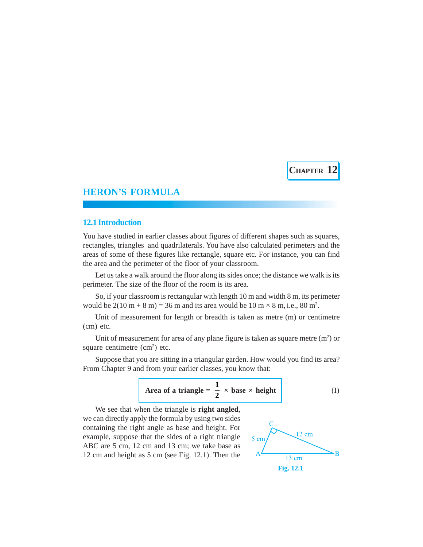**CHAPTER 12**

# **HERON'S FORMULA**

## **12.1 Introduction**

You have studied in earlier classes about figures of different shapes such as squares, rectangles, triangles and quadrilaterals. You have also calculated perimeters and the areas of some of these figures like rectangle, square etc. For instance, you can find the area and the perimeter of the floor of your classroom.

Let us take a walk around the floor along its sides once; the distance we walk is its perimeter. The size of the floor of the room is its area.

So, if your classroom is rectangular with length 10 m and width 8 m, its perimeter would be  $2(10 \text{ m} + 8 \text{ m}) = 36 \text{ m}$  and its area would be  $10 \text{ m} \times 8 \text{ m}$ , i.e.,  $80 \text{ m}^2$ .

Unit of measurement for length or breadth is taken as metre (m) or centimetre (cm) etc.

Unit of measurement for area of any plane figure is taken as square metre  $(m<sup>2</sup>)$  or square centimetre  $(cm<sup>2</sup>)$  etc.

Suppose that you are sitting in a triangular garden. How would you find its area? From Chapter 9 and from your earlier classes, you know that:



We see that when the triangle is **right angled**, we can directly apply the formula by using two sides containing the right angle as base and height. For example, suppose that the sides of a right triangle ABC are 5 cm, 12 cm and 13 cm; we take base as 12 cm and height as 5 cm (see Fig. 12.1). Then the

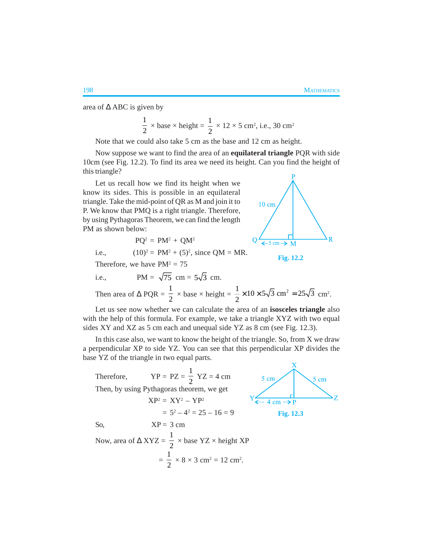area of ∆ ABC is given by

$$
\frac{1}{2} \times \text{base} \times \text{height} = \frac{1}{2} \times 12 \times 5 \text{ cm}^2, \text{ i.e., } 30 \text{ cm}^2
$$

Note that we could also take 5 cm as the base and 12 cm as height.

Now suppose we want to find the area of an **equilateral triangle** PQR with side 10cm (see Fig. 12.2). To find its area we need its height. Can you find the height of this triangle?

Let us recall how we find its height when we know its sides. This is possible in an equilateral triangle. Take the mid-point of QR as M and join it to P. We know that PMQ is a right triangle. Therefore, by using Pythagoras Theorem, we can find the length PM as shown below:

$$
PQ^2 = PM^2 + QM^2
$$

i.e.,  $(10)^2 = PM^2 + (5)^2$ , since QM = MR.

Therefore, we have  $PM^2 = 75$ 

i.e., 
$$
PM = \sqrt{75} \text{ cm} = 5\sqrt{3} \text{ cm}.
$$

Then area of 
$$
\triangle
$$
 PQR =  $\frac{1}{2}$  × base × height =  $\frac{1}{2}$  × 10 × 5 $\sqrt{3}$  cm<sup>2</sup> = 25 $\sqrt{3}$  cm<sup>2</sup>.

Let us see now whether we can calculate the area of an **isosceles triangle** also with the help of this formula. For example, we take a triangle XYZ with two equal sides XY and XZ as 5 cm each and unequal side YZ as 8 cm (see Fig. 12.3).

In this case also, we want to know the height of the triangle. So, from X we draw a perpendicular XP to side YZ. You can see that this perpendicular XP divides the base YZ of the triangle in two equal parts.

| Therefore,                                                                               | $YP = PZ = \frac{1}{2} YZ = 4$ cm         | $5 \text{ cm}$               | cm |
|------------------------------------------------------------------------------------------|-------------------------------------------|------------------------------|----|
|                                                                                          | Then, by using Pythagoras theorem, we get |                              |    |
|                                                                                          | $XP^2 = XY^2 - YP^2$                      | $4 \text{ cm} \rightarrow P$ |    |
|                                                                                          | $= 5^2 - 4^2 = 25 - 16 = 9$               | Fig. $12.3$                  |    |
| So,                                                                                      | $XP = 3$ cm                               |                              |    |
| Now, area of $\triangle XYZ = \frac{1}{2} \times \text{base YZ} \times \text{height XP}$ |                                           |                              |    |
| $=\frac{1}{2} \times 8 \times 3$ cm <sup>2</sup> = 12 cm <sup>2</sup> .                  |                                           |                              |    |



**Fig. 12.2**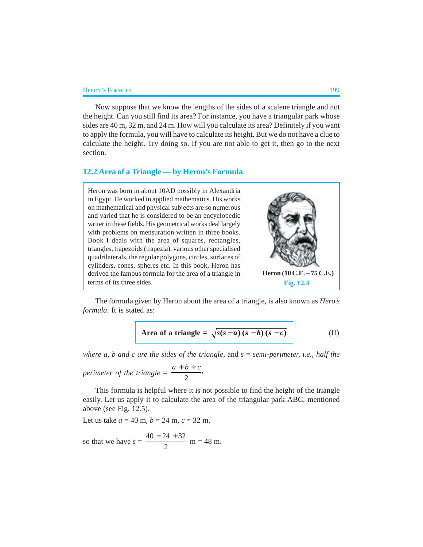#### HERON'S FORMULA 199

Now suppose that we know the lengths of the sides of a scalene triangle and not the height. Can you still find its area? For instance, you have a triangular park whose sides are 40 m, 32 m, and 24 m. How will you calculate its area? Definitely if you want to apply the formula, you will have to calculate its height. But we do not have a clue to calculate the height. Try doing so. If you are not able to get it, then go to the next section.

#### **12.2 Area of a Triangle — by Heron's Formula**

Heron was born in about 10AD possibly in Alexandria in Egypt. He worked in applied mathematics. His works on mathematical and physical subjects are so numerous and varied that he is considered to be an encyclopedic writer in these fields. His geometrical works deal largely with problems on mensuration written in three books. Book I deals with the area of squares, rectangles, triangles, trapezoids (trapezia), various other specialised quadrilaterals, the regular polygons, circles, surfaces of cylinders, cones, spheres etc. In this book, Heron has derived the famous formula for the area of a triangle in terms of its three sides. **Fig. 12.4 Heron (10 C.E. – 75 C.E.)**

The formula given by Heron about the area of a triangle, is also known as *Hero's formula*. It is stated as:

Area of a triangle = 
$$
\sqrt{s(s-a)(s-b)(s-c)}
$$
 (II)

*where a, b and c are the sides of the triangle*, and *s* = *semi-perimeter, i.e., half the perimeter of the triangle* =  $\frac{2}{2}$  $\frac{a+b+c}{a}$ 

This formula is helpful where it is not possible to find the height of the triangle easily. Let us apply it to calculate the area of the triangular park ABC, mentioned above (see Fig. 12.5).

Let us take  $a = 40$  m,  $b = 24$  m,  $c = 32$  m,

so that we have 
$$
s = \frac{40 + 24 + 32}{2}
$$
 m = 48 m.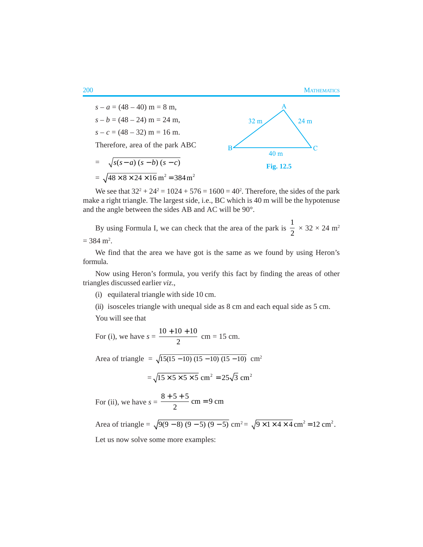

We see that  $32^2 + 24^2 = 1024 + 576 = 1600 = 40^2$ . Therefore, the sides of the park make a right triangle. The largest side, i.e., BC which is 40 m will be the hypotenuse and the angle between the sides AB and AC will be 90°.

By using Formula I, we can check that the area of the park is 1  $\frac{1}{2} \times 32 \times 24$  m<sup>2</sup>  $= 384 \text{ m}^2$ .

We find that the area we have got is the same as we found by using Heron's formula.

Now using Heron's formula, you verify this fact by finding the areas of other triangles discussed earlier *viz*.,

(i) equilateral triangle with side 10 cm.

(ii) isosceles triangle with unequal side as 8 cm and each equal side as 5 cm.

You will see that

For (i), we have  $s = \frac{10 + 10 + 10}{2}$ 2  $\frac{+10+10}{2}$  cm = 15 cm.

Area of triangle =  $\sqrt{15(15 - 10)(15 - 10)(15 - 10)}$  cm<sup>2</sup>

$$
=\sqrt{15\times5\times5\times5} \text{ cm}^2 = 25\sqrt{3} \text{ cm}^2
$$

For (ii), we have  $s = \frac{8+5+5}{2}$  cm = 9 cm  $\frac{+ 5 + 5}{2}$  cm =

Area of triangle =  $\sqrt{9(9-8)(9-5)(9-5)}$  cm<sup>2</sup> =  $\sqrt{9 \times 1 \times 4 \times 4}$  cm<sup>2</sup> = 12 cm<sup>2</sup>.

Let us now solve some more examples: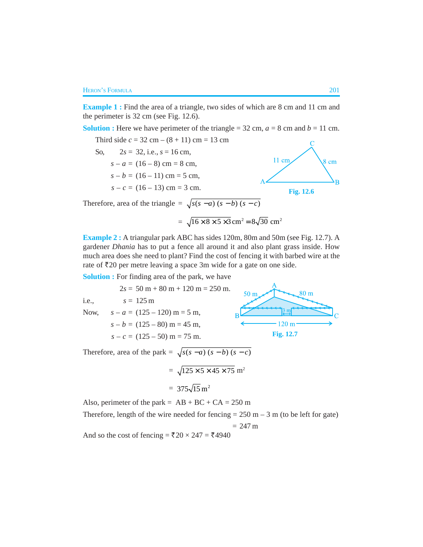**Example 1:** Find the area of a triangle, two sides of which are 8 cm and 11 cm and the perimeter is 32 cm (see Fig. 12.6).

**Solution :** Here we have perimeter of the triangle = 32 cm,  $a = 8$  cm and  $b = 11$  cm.

Third side  $c = 32$  cm –  $(8 + 11)$  cm = 13 cm

So,  $2s = 32$ , i.e.,  $s = 16$  cm, 11 cm 8 cm  $s - a = (16 - 8)$  cm = 8 cm,  $s - b = (16 - 11)$  cm = 5 cm,  $s - c = (16 - 13)$  cm = 3 cm. **Fig. 12.6**

Therefore, area of the triangle =  $\sqrt{s(s-a)(s-b)(s-c)}$ 

$$
= \sqrt{16 \times 8 \times 5 \times 3} \text{ cm}^2 = 8\sqrt{30} \text{ cm}^2
$$

**Example 2 :** A triangular park ABC has sides 120m, 80m and 50m (see Fig. 12.7). A gardener *Dhania* has to put a fence all around it and also plant grass inside. How much area does she need to plant? Find the cost of fencing it with barbed wire at the rate of  $\bar{\mathfrak{Z}}20$  per metre leaving a space 3m wide for a gate on one side.

**Solution :** For finding area of the park, we have

 $2s = 50 m + 80 m + 120 m = 250 m$ .  $80<sub>m</sub>$  $50<sub>m</sub>$ i.e.,  $s = 125 \text{ m}$ Now,  $s - a = (125 - 120)$  m = 5 m,  $3<sub>m</sub>$  $s - b = (125 - 80)$  m = 45 m,  $120<sub>m</sub>$ **Fig. 12.7** $s - c = (125 - 50)$  m = 75 m.

Therefore, area of the park =  $\sqrt{s(s-a)(s-b)(s-c)}$ 

$$
= \sqrt{125 \times 5 \times 45 \times 75} \text{ m}^2
$$

$$
= 375\sqrt{15} \text{ m}^2
$$

Also, perimeter of the park =  $AB + BC + CA = 250$  m

Therefore, length of the wire needed for fencing  $= 250$  m  $- 3$  m (to be left for gate)

 $= 247 m$ 

And so the cost of fencing =  $\overline{20} \times 247 = 4940$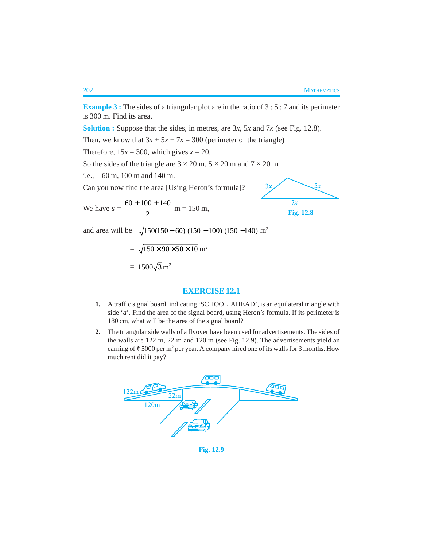**Example 3 :** The sides of a triangular plot are in the ratio of 3 : 5 : 7 and its perimeter is 300 m. Find its area.

**Solution :** Suppose that the sides, in metres, are 3*x*, 5*x* and 7*x* (see Fig. 12.8).

Then, we know that  $3x + 5x + 7x = 300$  (perimeter of the triangle)

Therefore,  $15x = 300$ , which gives  $x = 20$ .

So the sides of the triangle are  $3 \times 20$  m,  $5 \times 20$  m and  $7 \times 20$  m

i.e., 60 m, 100 m and 140 m.

Can you now find the area [Using Heron's formula]?

We have  $s = \frac{60 + 100 + 140}{2}$  $\frac{+100+140}{2}$  m = 150 m,



and area will be  $\sqrt{150(150 - 60)(150 - 100)(150 - 140)}$  m<sup>2</sup>

$$
= \sqrt{150 \times 90 \times 50 \times 10}
$$
 m<sup>2</sup>  
= 1500 $\sqrt{3}$  m<sup>2</sup>

### **EXERCISE 12.1**

- **1.** A traffic signal board, indicating 'SCHOOL AHEAD', is an equilateral triangle with side '*a*'. Find the area of the signal board, using Heron's formula. If its perimeter is 180 cm, what will be the area of the signal board?
- **2.** The triangular side walls of a flyover have been used for advertisements. The sides of the walls are 122 m, 22 m and 120 m (see Fig. 12.9). The advertisements yield an earning of  $\bar{\tau}$  5000 per m<sup>2</sup> per year. A company hired one of its walls for 3 months. How much rent did it pay?



**Fig. 12.9**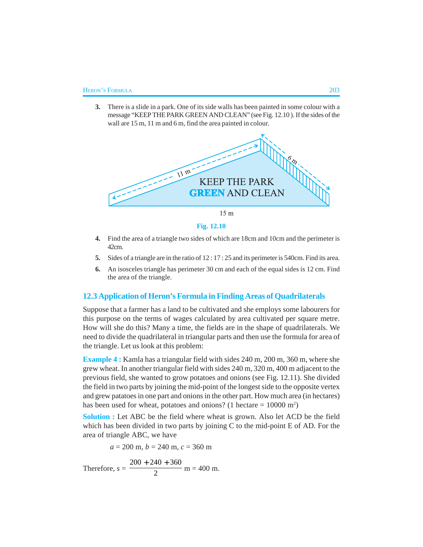**3.** There is a slide in a park. One of its side walls has been painted in some colour with a message "KEEP THE PARK GREEN AND CLEAN" (see Fig. 12.10 ). If the sides of the wall are 15 m, 11 m and 6 m, find the area painted in colour.



**Fig. 12.10**

- **4.** Find the area of a triangle two sides of which are 18cm and 10cm and the perimeter is 42cm.
- **5.** Sides of a triangle are in the ratio of 12 : 17 : 25 and its perimeter is 540cm. Find its area.
- **6.** An isosceles triangle has perimeter 30 cm and each of the equal sides is 12 cm. Find the area of the triangle.

## **12.3 Application of Heron's Formula in Finding Areas of Quadrilaterals**

Suppose that a farmer has a land to be cultivated and she employs some labourers for this purpose on the terms of wages calculated by area cultivated per square metre. How will she do this? Many a time, the fields are in the shape of quadrilaterals. We need to divide the quadrilateral in triangular parts and then use the formula for area of the triangle. Let us look at this problem:

**Example 4 :** Kamla has a triangular field with sides 240 m, 200 m, 360 m, where she grew wheat. In another triangular field with sides 240 m, 320 m, 400 m adjacent to the previous field, she wanted to grow potatoes and onions (see Fig. 12.11). She divided the field in two parts by joining the mid-point of the longest side to the opposite vertex and grew patatoes in one part and onions in the other part. How much area (in hectares) has been used for wheat, potatoes and onions? (1 hectare  $= 10000$  m<sup>2</sup>)

**Solution :** Let ABC be the field where wheat is grown. Also let ACD be the field which has been divided in two parts by joining C to the mid-point E of AD. For the area of triangle ABC, we have

 $a = 200$  m,  $b = 240$  m,  $c = 360$  m

Therefore,  $s = \frac{200 + 240 + 360}{2}$  $+ 240 +$  $m = 400$  m.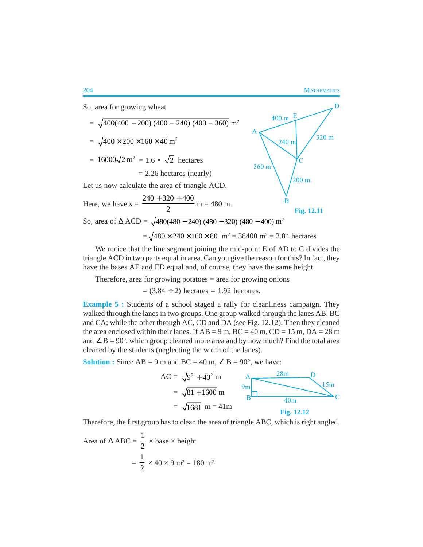

We notice that the line segment joining the mid-point E of AD to C divides the triangle ACD in two parts equal in area. Can you give the reason for this? In fact, they have the bases AE and ED equal and, of course, they have the same height.

Therefore, area for growing potatoes  $=$  area for growing onions

 $= (3.84 \div 2)$  hectares  $= 1.92$  hectares.

**Example 5 :** Students of a school staged a rally for cleanliness campaign. They walked through the lanes in two groups. One group walked through the lanes AB, BC and CA; while the other through AC, CD and DA (see Fig. 12.12). Then they cleaned the area enclosed within their lanes. If  $AB = 9$  m,  $BC = 40$  m,  $CD = 15$  m,  $DA = 28$  m and  $\angle$  B = 90°, which group cleaned more area and by how much? Find the total area cleaned by the students (neglecting the width of the lanes).

**Solution :** Since  $AB = 9$  m and  $BC = 40$  m,  $\angle B = 90^{\circ}$ , we have:



Therefore, the first group has to clean the area of triangle ABC, which is right angled.

Area of 
$$
\triangle ABC = \frac{1}{2} \times \text{base} \times \text{height}
$$
  
=  $\frac{1}{2} \times 40 \times 9 \text{ m}^2 = 180 \text{ m}^2$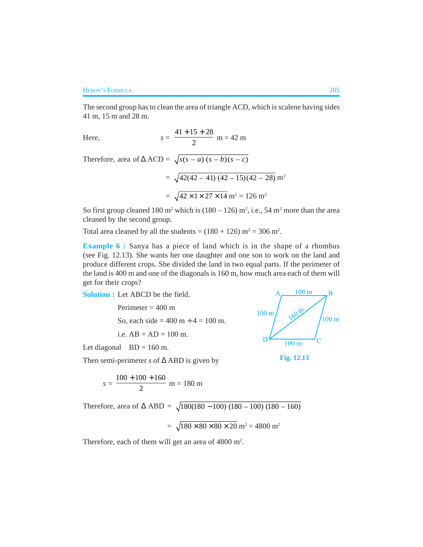The second group has to clean the area of triangle ACD, which is scalene having sides 41 m, 15 m and 28 m.

Here, 
$$
s = \frac{41 + 15 + 28}{2}
$$
 m = 42 m

Therefore, area of  $\triangle ACD = \sqrt{s(s-a)(s-b)(s-c)}$ 

$$
= \sqrt{42(42 - 41)(42 - 15)(42 - 28)} m^{2}
$$

$$
= \sqrt{42 \times 1 \times 27 \times 14} m^{2} = 126 m^{2}
$$

So first group cleaned 180 m<sup>2</sup> which is  $(180 - 126)$  m<sup>2</sup>, i.e., 54 m<sup>2</sup> more than the area cleaned by the second group.

Total area cleaned by all the students =  $(180 + 126)$  m<sup>2</sup> = 306 m<sup>2</sup>.

**Example 6 :** Sanya has a piece of land which is in the shape of a rhombus (see Fig. 12.13). She wants her one daughter and one son to work on the land and produce different crops. She divided the land in two equal parts. If the perimeter of the land is 400 m and one of the diagonals is 160 m, how much area each of them will get for their crops?

**Solution :** Let ABCD be the field.

Perimeter  $= 400$  m So, each side =  $400 \text{ m} \div 4 = 100 \text{ m}$ . i.e.  $AB = AD = 100$  m.

Let diagonal  $BD = 160$  m.

Then semi-perimeter *s* of ∆ ABD is given by

$$
s = \frac{100 + 100 + 160}{2}
$$
 m = 180 m

Therefore, area of  $\triangle$  ABD =  $\sqrt{180(180 - 100) (180 - 100) (180 - 160)}$ 

$$
= \sqrt{180 \times 80 \times 80 \times 20} \text{ m}^2 = 4800 \text{ m}^2
$$

Therefore, each of them will get an area of  $4800 \text{ m}^2$ .



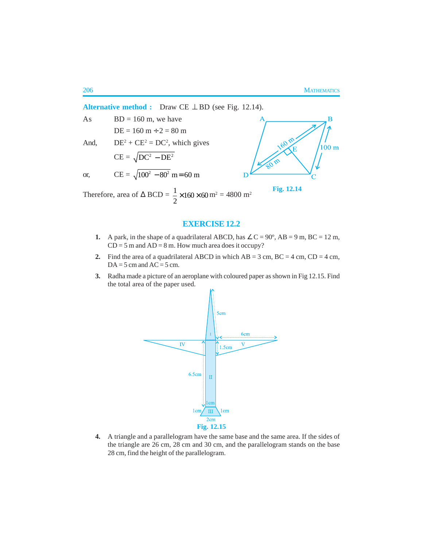$\overline{B}$ 

**Alternative method :** Draw CE ⊥ BD (see Fig. 12.14). As  $BD = 160$  m, we have  $DE = 160 m \div 2 = 80 m$ And,  $DE^2 + CE^2 = DC^2$ , which gives a  $100<sub>m</sub>$  $CE = \sqrt{DC^2 - DE^2}$ or, CE =  $\sqrt{100^2 - 80^2}$  m = 60 m **Fig. 12.14**

Therefore, area of  $\triangle BCD = \frac{1}{2} \times 160 \times 60$ 2  $\times$ 160 $\times$ 60 m<sup>2</sup> = 4800 m<sup>2</sup>

# **EXERCISE 12.2**

- **1.** A park, in the shape of a quadrilateral ABCD, has  $\angle C = 90^\circ$ , AB = 9 m, BC = 12 m,  $CD = 5$  m and  $AD = 8$  m. How much area does it occupy?
- **2.** Find the area of a quadrilateral ABCD in which  $AB = 3$  cm,  $BC = 4$  cm,  $CD = 4$  cm,  $DA = 5$  cm and  $AC = 5$  cm.
- **3.** Radha made a picture of an aeroplane with coloured paper as shown in Fig 12.15. Find the total area of the paper used.



**4.** A triangle and a parallelogram have the same base and the same area. If the sides of the triangle are 26 cm, 28 cm and 30 cm, and the parallelogram stands on the base 28 cm, find the height of the parallelogram.